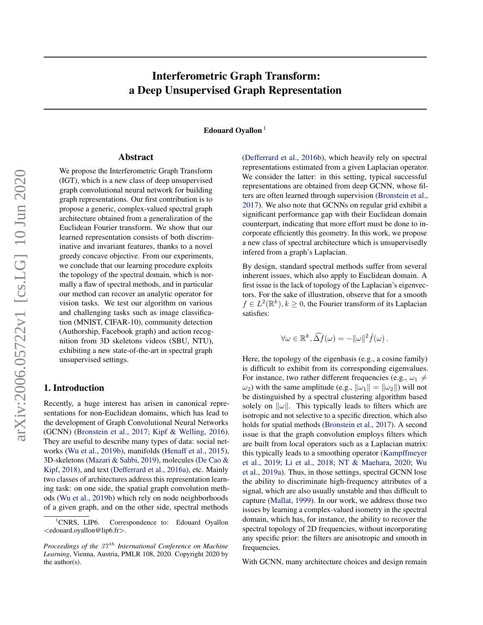# <span id="page-0-0"></span>Interferometric Graph Transform: a Deep Unsupervised Graph Representation

Edouard Oyallon<sup>1</sup>

# Abstract

We propose the Interferometric Graph Transform (IGT), which is a new class of deep unsupervised graph convolutional neural network for building graph representations. Our first contribution is to propose a generic, complex-valued spectral graph architecture obtained from a generalization of the Euclidean Fourier transform. We show that our learned representation consists of both discriminative and invariant features, thanks to a novel greedy concave objective. From our experiments, we conclude that our learning procedure exploits the topology of the spectral domain, which is normally a flaw of spectral methods, and in particular our method can recover an analytic operator for vision tasks. We test our algorithm on various and challenging tasks such as image classification (MNIST, CIFAR-10), community detection (Authorship, Facebook graph) and action recognition from 3D skeletons videos (SBU, NTU), exhibiting a new state-of-the-art in spectral graph unsupervised settings.

# 1. Introduction

Recently, a huge interest has arisen in canonical representations for non-Euclidean domains, which has lead to the development of Graph Convolutional Neural Networks (GCNN) [\(Bronstein et al.,](#page-8-0) [2017;](#page-8-0) [Kipf & Welling,](#page-9-0) [2016\)](#page-9-0). They are useful to describe many types of data: social networks [\(Wu et al.,](#page-10-0) [2019b\)](#page-10-0), manifolds [\(Henaff et al.,](#page-8-0) [2015\)](#page-8-0), 3D-skeletons [\(Mazari & Sahbi,](#page-9-0) [2019\)](#page-9-0), molecules [\(De Cao &](#page-8-0) [Kipf,](#page-8-0) [2018\)](#page-8-0), and text [\(Defferrard et al.,](#page-8-0) [2016a\)](#page-8-0), etc. Mainly two classes of architectures address this representation learning task: on one side, the spatial graph convolution methods [\(Wu et al.,](#page-10-0) [2019b\)](#page-10-0) which rely on node neighborhoods of a given graph, and on the other side, spectral methods

[\(Defferrard et al.,](#page-8-0) [2016b\)](#page-8-0), which heavily rely on spectral representations estimated from a given Laplacian operator. We consider the latter: in this setting, typical successful representations are obtained from deep GCNN, whose filters are often learned through supervision [\(Bronstein et al.,](#page-8-0) [2017\)](#page-8-0). We also note that GCNNs on regular grid exhibit a significant performance gap with their Euclidean domain counterpart, indicating that more effort must be done to incorporate efficiently this geometry. In this work, we propose a new class of spectral architecture which is unsupervisedly infered from a graph's Laplacian.

By design, standard spectral methods suffer from several inherent issues, which also apply to Euclidean domain. A first issue is the lack of topology of the Laplacian's eigenvectors. For the sake of illustration, observe that for a smooth  $f \in L^2(\mathbb{R}^k)$ ,  $k \ge 0$ , the Fourier transform of its Laplacian satisfies:

$$
\forall \omega \in \mathbb{R}^k, \widehat{\Delta f}(\omega) = -\|\omega\|^2 \widehat{f}(\omega).
$$

Here, the topology of the eigenbasis (e.g., a cosine family) is difficult to exhibit from its corresponding eigenvalues. For instance, two rather different frequencies (e.g.,  $\omega_1 \neq$  $\omega_2$ ) with the same amplitude (e.g.,  $\|\omega_1\| = \|\omega_2\|$ ) will not be distinguished by a spectral clustering algorithm based solely on  $\|\omega\|$ . This typically leads to filters which are isotropic and not selective to a specific direction, which also holds for spatial methods [\(Bronstein et al.,](#page-8-0) [2017\)](#page-8-0). A second issue is that the graph convolution employs filters which are built from local operators such as a Laplacian matrix: this typically leads to a smoothing operator [\(Kampffmeyer](#page-9-0) [et al.,](#page-9-0) [2019;](#page-9-0) [Li et al.,](#page-9-0) [2018;](#page-9-0) [NT & Maehara,](#page-9-0) [2020;](#page-9-0) [Wu](#page-10-0) [et al.,](#page-10-0) [2019a\)](#page-10-0). Thus, in those settings, spectral GCNN lose the ability to discriminate high-frequency attributes of a signal, which are also usually unstable and thus difficult to capture [\(Mallat,](#page-9-0) [1999\)](#page-9-0). In our work, we address those two issues by learning a complex-valued isometry in the spectral domain, which has, for instance, the ability to recover the spectral topology of 2D frequencies, without incorporating any specific prior: the filters are anisotropic and smooth in frequencies.

With GCNN, many architecture choices and design remain

<sup>&</sup>lt;sup>1</sup>CNRS, LIP6. Correspondence to: Edouard Oyallon <edouard.oyallon@lip6.fr>.

*Proceedings of the 37<sup>th</sup> International Conference on Machine Learning*, Vienna, Austria, PMLR 108, 2020. Copyright 2020 by the author(s).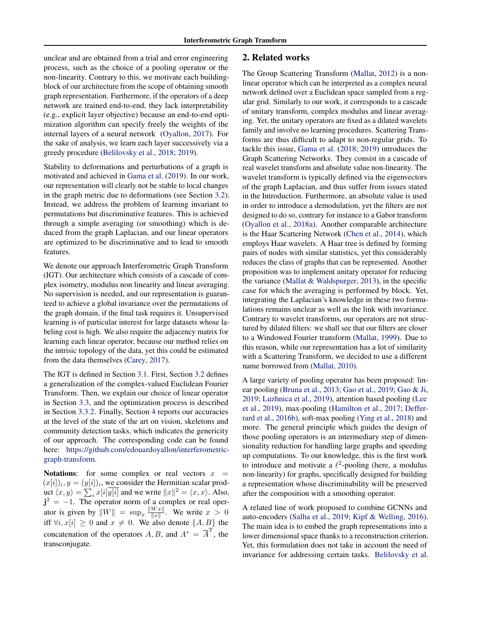unclear and are obtained from a trial and error engineering process, such as the choice of a pooling operator or the non-linearity. Contrary to this, we motivate each buildingblock of our architecture from the scope of obtaining smooth graph representation. Furthermore, if the operators of a deep network are trained end-to-end, they lack interpretability (e.g., explicit layer objective) because an end-to-end optimization algorithm can specify freely the weights of the internal layers of a neural network [\(Oyallon,](#page-9-0) [2017\)](#page-9-0). For the sake of analysis, we learn each layer successively via a greedy procedure [\(Belilovsky et al.,](#page-8-0) [2018;](#page-8-0) [2019\)](#page-8-0).

Stability to deformations and perturbations of a graph is motivated and achieved in [Gama et al.](#page-8-0) [\(2019\)](#page-8-0). In our work, our representation will clearly not be stable to local changes in the graph metric due to deformations (see Section [3.2\)](#page-2-0). Instead, we address the problem of learning invariant to permutations but discriminative features. This is achieved through a simple averaging (or smoothing) which is deduced from the graph Laplacian, and our linear operators are optimized to be discriminative and to lead to smooth features.

We denote our approach Interferometric Graph Transform (IGT). Our architecture which consists of a cascade of complex isometry, modulus non linearity and linear averaging. No supervision is needed, and our representation is guaranteed to achieve a global invariance over the permutations of the graph domain, if the final task requires it. Unsupervised learning is of particular interest for large datasets whose labeling cost is high. We also require the adjacency matrix for learning each linear operator, because our method relies on the intrisic topology of the data, yet this could be estimated from the data themselves [\(Carey,](#page-8-0) [2017\)](#page-8-0).

The IGT is defined in Section [3.1.](#page-2-0) First, Section [3.2](#page-2-0) defines a generalization of the complex-valued Euclidean Fourier Transform. Then, we explain our choice of linear operator in Section [3.3,](#page-3-0) and the optimization process is described in Section [3.3.2.](#page-4-0) Finally, Section [4](#page-5-0) reports our accuracies at the level of the state of the art on vision, skeletons and community detection tasks, which indicates the genericity of our approach. The corresponding code can be found here: [https://github.com/edouardoyallon/interferometric](https://github.com/edouardoyallon/interferometric-graph-transform)[graph-transform.](https://github.com/edouardoyallon/interferometric-graph-transform)

Notations: for some complex or real vectors  $x =$  $(x[i])_i, y = (y[i])_i$ , we consider the Hermitian scalar product  $\langle x, y \rangle = \sum_i x[i] \overline{y[i]}$  and we write  $||x||^2 = \langle x, x \rangle$ . Also,  $j^2 = -1$ . The operator norm of a complex or real operator is given by  $||W|| = \sup_x \frac{||Wx||}{||x||}$  $\frac{w x}{\|x\|}$ . We write  $x > 0$ iff  $\forall i, x[i] \geq 0$  and  $x \neq 0$ . We also denote  $\{A, B\}$  the concatenation of the operators  $A, B$ , and  $A^* = \overline{A}^T$ , the transconjugate.

# 2. Related works

The Group Scattering Transform [\(Mallat,](#page-9-0) [2012\)](#page-9-0) is a nonlinear operator which can be interpreted as a complex neural network defined over a Euclidean space sampled from a regular grid. Similarly to our work, it corresponds to a cascade of unitary transform, complex modulus and linear averaging. Yet, the unitary operators are fixed as a dilated wavelets family and involve no learning procedures. Scattering Transforms are thus difficult to adapt to non-regular grids. To tackle this issue, [Gama et al.](#page-8-0) [\(2018;](#page-8-0) [2019\)](#page-8-0) introduces the Graph Scattering Networks. They consist in a cascade of real wavelet transform and absolute value non-linearity. The wavelet transform is typically defined via the eigenvectors of the graph Laplacian, and thus suffer from issues stated in the Introduction. Furthermore, an absolute value is used in order to introduce a demodulation, yet the filters are not designed to do so, contrary for instance to a Gabor transform [\(Oyallon et al.,](#page-9-0) [2018a\)](#page-9-0). Another comparable architecture is the Haar Scattering Network [\(Chen et al.,](#page-8-0) [2014\)](#page-8-0), which employs Haar wavelets. A Haar tree is defined by forming pairs of nodes with similar statistics, yet this considerably reduces the class of graphs that can be represented. Another proposition was to implement unitary operator for reducing the variance [\(Mallat & Waldspurger,](#page-9-0) [2013\)](#page-9-0), in the specific case for which the averaging is performed by block. Yet, integrating the Laplacian's knowledge in these two formulations remains unclear as well as the link with invariance. Contrary to wavelet transforms, our operators are not structured by dilated filters: we shall see that our filters are closer to a Windowed Fourier transform [\(Mallat,](#page-9-0) [1999\)](#page-9-0). Due to this reason, while our representation has a lot of similarity with a Scattering Transform, we decided to use a different name borrowed from [\(Mallat,](#page-9-0) [2010\)](#page-9-0).

A large variety of pooling operator has been proposed: linear pooling [\(Bruna et al.,](#page-8-0) [2013;](#page-8-0) [Gao et al.,](#page-8-0) [2019;](#page-8-0) [Gao & Ji,](#page-8-0) [2019;](#page-8-0) [Luzhnica et al.,](#page-9-0) [2019\)](#page-9-0), attention based pooling [\(Lee](#page-9-0) [et al.,](#page-9-0) [2019\)](#page-9-0), max-pooling [\(Hamilton et al.,](#page-8-0) [2017;](#page-8-0) [Deffer](#page-8-0)[rard et al.,](#page-8-0) [2016b\)](#page-8-0), soft-max pooling [\(Ying et al.,](#page-10-0) [2018\)](#page-10-0) and more. The general principle which guides the design of those pooling operators is an intermediary step of dimensionality reduction for handling large graphs and speeding up computations. To our knowledge, this is the first work to introduce and motivate a  $\ell^2$ -pooling (here, a modulus non-linearity) for graphs, specifically designed for building a representation whose discriminability will be preserved after the composition with a smoothing operator.

A related line of work proposed to combine GCNNs and auto-encoders [\(Salha et al.,](#page-9-0) [2019;](#page-9-0) [Kipf & Welling,](#page-9-0) [2016\)](#page-9-0). The main idea is to embed the graph representations into a lower dimensional space thanks to a reconstruction criterion. Yet, this formulation does not take in account the need of invariance for addressing certain tasks. [Belilovsky et al.](#page-8-0)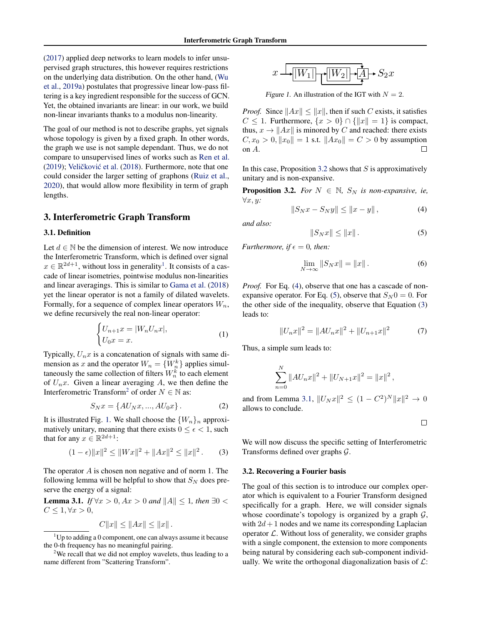<span id="page-2-0"></span>[\(2017\)](#page-8-0) applied deep networks to learn models to infer unsupervised graph structures, this however requires restrictions on the underlying data distribution. On the other hand, [\(Wu](#page-10-0) [et al.,](#page-10-0) [2019a\)](#page-10-0) postulates that progressive linear low-pass filtering is a key ingredient responsible for the success of GCN. Yet, the obtained invariants are linear: in our work, we build non-linear invariants thanks to a modulus non-linearity.

The goal of our method is not to describe graphs, yet signals whose topology is given by a fixed graph. In other words, the graph we use is not sample dependant. Thus, we do not compare to unsupervised lines of works such as [Ren et al.](#page-9-0) [\(2019\)](#page-9-0); Veličković et al.  $(2018)$ . Furthermore, note that one could consider the larger setting of graphons [\(Ruiz et al.,](#page-9-0) [2020\)](#page-9-0), that would allow more flexibility in term of graph lengths.

## 3. Interferometric Graph Transform

#### 3.1. Definition

Let  $d \in \mathbb{N}$  be the dimension of interest. We now introduce the Interferometric Transform, which is defined over signal  $x \in \mathbb{R}^{2d+1}$ , without loss in generality<sup>1</sup>. It consists of a cascade of linear isometries, pointwise modulus non-linearities and linear averagings. This is similar to [Gama et al.](#page-8-0) [\(2018\)](#page-8-0) yet the linear operator is not a family of dilated wavelets. Formally, for a sequence of complex linear operators  $W_n$ , we define recursively the real non-linear operator:

$$
\begin{cases} U_{n+1}x = |W_n U_n x|, \\ U_0 x = x. \end{cases} \tag{1}
$$

Typically,  $U_n x$  is a concatenation of signals with same dimension as x and the operator  $W_n = \{W_n^k\}$  applies simultaneously the same collection of filters  $W_n^k$  to each element of  $U_n x$ . Given a linear averaging A, we then define the Interferometric Transform<sup>2</sup> of order  $N \in \mathbb{N}$  as:

$$
S_N x = \{AU_N x, ..., AU_0 x\}.
$$
 (2)

It is illustrated Fig. 1. We shall choose the  $\{W_n\}_n$  approximatively unitary, meaning that there exists  $0 \leq \epsilon < 1$ , such that for any  $x \in \mathbb{R}^{2d+1}$ :

$$
(1 - \epsilon) \|x\|^2 \le \|Wx\|^2 + \|Ax\|^2 \le \|x\|^2. \tag{3}
$$

The operator A is chosen non negative and of norm 1. The following lemma will be helpful to show that  $S_N$  does preserve the energy of a signal:

**Lemma 3.1.** *If* ∀*x* > 0, *Ax* > 0 *and*  $||A|| ≤ 1$ *, then* ∃0 <  $C \leq 1, \forall x > 0,$ 

$$
C||x|| \le ||Ax|| \le ||x||.
$$



Figure 1. An illustration of the IGT with  $N = 2$ .

*Proof.* Since  $||Ax|| \le ||x||$ , then if such C exists, it satisfies  $C \leq 1$ . Furthermore,  $\{x > 0\} \cap \{\|x\| = 1\}$  is compact, thus,  $x \to ||Ax||$  is minored by C and reached: there exists  $C, x_0 > 0, ||x_0|| = 1$  s.t.  $||Ax_0|| = C > 0$  by assumption on A. on A.

In this case, Proposition 3.2 shows that  $S$  is approximatively unitary and is non-expansive.

**Proposition 3.2.** *For*  $N \in \mathbb{N}$ ,  $S_N$  *is non-expansive, ie,* ∀x, y*:*

$$
||S_N x - S_N y|| \le ||x - y||,
$$
 (4)

*and also:*

$$
||S_Nx|| \le ||x||. \tag{5}
$$

*Furthermore, if*  $\epsilon = 0$ *, then:* 

$$
\lim_{N \to \infty} \|S_N x\| = \|x\|.
$$
 (6)

*Proof.* For Eq. [\(4\)](#page-5-0), observe that one has a cascade of nonexpansive operator. For Eq. (5), observe that  $S_N 0 = 0$ . For the other side of the inequality, observe that Equation (3) leads to:

$$
||U_n x||^2 = ||AU_n x||^2 + ||U_{n+1} x||^2 \tag{7}
$$

Thus, a simple sum leads to:

$$
\sum_{n=0}^{N} ||AU_n x||^2 + ||U_{N+1} x||^2 = ||x||^2,
$$

and from Lemma 3.1,  $||U_N x||^2 \le (1 - C^2)^N ||x||^2 \to 0$ allows to conclude.

$$
\qquad \qquad \Box
$$

We will now discuss the specific setting of Interferometric Transforms defined over graphs G.

#### 3.2. Recovering a Fourier basis

The goal of this section is to introduce our complex operator which is equivalent to a Fourier Transform designed specifically for a graph. Here, we will consider signals whose coordinate's topology is organized by a graph  $G$ , with  $2d+1$  nodes and we name its corresponding Laplacian operator  $\mathcal{L}$ . Without loss of generality, we consider graphs with a single component, the extension to more components being natural by considering each sub-component individually. We write the orthogonal diagonalization basis of  $\mathcal{L}$ :

 $1^1$ Up to adding a 0 component, one can always assume it because the 0-th frequency has no meaningful pairing.

<sup>&</sup>lt;sup>2</sup>We recall that we did not employ wavelets, thus leading to a name different from "Scattering Transform".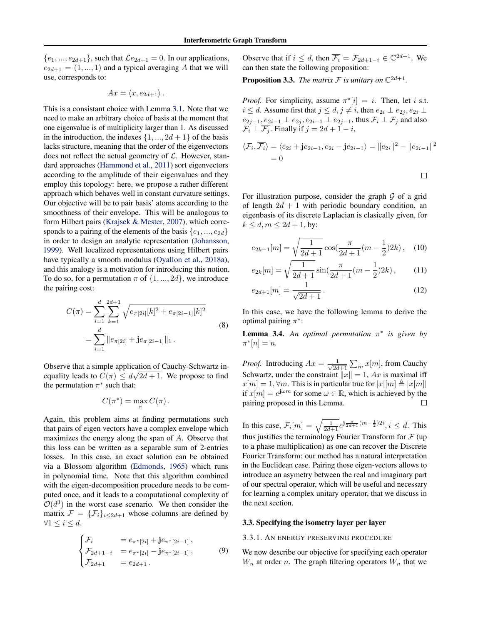<span id="page-3-0"></span> $\{e_1, ..., e_{2d+1}\}\$ , such that  $\mathcal{L}e_{2d+1} = 0$ . In our applications,  $e_{2d+1} = (1, ..., 1)$  and a typical averaging A that we will use, corresponds to:

$$
Ax = \langle x, e_{2d+1} \rangle.
$$

This is a consistant choice with Lemma [3.1.](#page-2-0) Note that we need to make an arbitrary choice of basis at the moment that one eigenvalue is of multiplicity larger than 1. As discussed in the introduction, the indexes  $\{1, ..., 2d + 1\}$  of the basis lacks structure, meaning that the order of the eigenvectors does not reflect the actual geometry of  $\mathcal{L}$ . However, standard approaches [\(Hammond et al.,](#page-8-0) [2011\)](#page-8-0) sort eigenvectors according to the amplitude of their eigenvalues and they employ this topology: here, we propose a rather different approach which behaves well in constant curvature settings. Our objective will be to pair basis' atoms according to the smoothness of their envelope. This will be analogous to form Hilbert pairs [\(Krajsek & Mester,](#page-9-0) [2007\)](#page-9-0), which corresponds to a pairing of the elements of the basis  $\{e_1, ..., e_{2d}\}$ in order to design an analytic representation [\(Johansson,](#page-9-0) [1999\)](#page-9-0). Well localized representations using Hilbert pairs have typically a smooth modulus [\(Oyallon et al.,](#page-9-0) [2018a\)](#page-9-0), and this analogy is a motivation for introducing this notion. To do so, for a permutation  $\pi$  of  $\{1, ..., 2d\}$ , we introduce the pairing cost:

$$
C(\pi) = \sum_{i=1}^{d} \sum_{k=1}^{2d+1} \sqrt{e_{\pi[2i]}[k]^2 + e_{\pi[2i-1]}[k]^2}
$$
  
= 
$$
\sum_{i=1}^{d} ||e_{\pi[2i]} + j e_{\pi[2i-1]}||_1.
$$
 (8)

Observe that a simple application of Cauchy-Schwartz inequality leads to  $C(\pi) \le d\sqrt{2d+1}$ . We propose to find the permutation  $\pi^*$  such that:

$$
C(\pi^*) = \max_{\pi} C(\pi).
$$

Again, this problem aims at finding permutations such that pairs of eigen vectors have a complex envelope which maximizes the energy along the span of A. Observe that this loss can be written as a separable sum of 2-entries losses. In this case, an exact solution can be obtained via a Blossom algorithm [\(Edmonds,](#page-8-0) [1965\)](#page-8-0) which runs in polynomial time. Note that this algorithm combined with the eigen-decomposition procedure needs to be computed once, and it leads to a computational complexity of  $\mathcal{O}(d^3)$  in the worst case scenario. We then consider the matrix  $\mathcal{F} = {\mathcal{F}_i}_{i \leq 2d+1}$  whose columns are defined by  $\forall 1 \leq i \leq d,$ 

$$
\begin{cases}\n\mathcal{F}_i &= e_{\pi^*[2i]} + j e_{\pi^*[2i-1]} ,\\ \n\mathcal{F}_{2d+1-i} &= e_{\pi^*[2i]} - j e_{\pi^*[2i-1]} ,\\ \n\mathcal{F}_{2d+1} &= e_{2d+1} .\n\end{cases}
$$
\n(9)

Observe that if  $i \leq d$ , then  $\overline{\mathcal{F}_i} = \mathcal{F}_{2d+1-i} \in \mathbb{C}^{2d+1}$ . We can then state the following proposition:

**Proposition 3.3.** *The matrix*  $\mathcal F$  *is unitary on*  $\mathbb C^{2d+1}$ *.* 

*Proof.* For simplicity, assume  $\pi^*[i] = i$ . Then, let i s.t.  $i \leq d$ . Assume first that  $j \leq d$ ,  $j \neq i$ , then  $e_{2i} \perp e_{2i}$ ,  $e_{2i} \perp$  $e_{2j-1},\underline{e_{2i-1}}\perp e_{2j},e_{2i-1}\perp e_{2j-1},$  thus  $\mathcal{F}_i\perp \mathcal{F}_j$  and also  $\overline{\mathcal{F}_i} \perp \overline{\mathcal{F}_j}$ . Finally if  $j = 2d + 1 - i$ ,

$$
\langle \mathcal{F}_i, \overline{\mathcal{F}_i} \rangle = \langle e_{2i} + \mathbf{j} e_{2i-1}, e_{2i} - \mathbf{j} e_{2i-1} \rangle = ||e_{2i}||^2 - ||e_{2i-1}||^2
$$
  
= 0

For illustration purpose, consider the graph  $G$  of a grid of length  $2d + 1$  with periodic boundary condition, an eigenbasis of its discrete Laplacian is clasically given, for  $k \leq d, m \leq 2d + 1$ , by:

$$
e_{2k-1}[m] = \sqrt{\frac{1}{2d+1}} \cos(\frac{\pi}{2d+1}(m-\frac{1}{2})2k), \quad (10)
$$

$$
e_{2k}[m] = \sqrt{\frac{1}{2d+1}} \sin(\frac{\pi}{2d+1}(m-\frac{1}{2})2k),\qquad(11)
$$

$$
e_{2d+1}[m] = \frac{1}{\sqrt{2d+1}}.
$$
\n(12)

In this case, we have the following lemma to derive the optimal pairing  $\pi^*$ :

**Lemma 3.4.** An optimal permutation  $\pi^*$  is given by  $\pi^*[n] = n.$ 

*Proof.* Introducing  $Ax = \frac{1}{\sqrt{2d}}$  $\frac{1}{2d+1}\sum_m x[m]$ , from Cauchy Schwartz, under the constraint  $||x|| = 1$ , Ax is maximal iff  $x[m] = 1, \forall m$ . This is in particular true for  $|x|[m] \triangleq |x[m]|$ if  $x[m] = e^{j\omega m}$  for some  $\omega \in \mathbb{R}$ , which is achieved by the pairing proposed in this Lemma.

In this case,  $\mathcal{F}_i[m] = \sqrt{\frac{1}{2d+1}} e^{j\frac{\pi}{2d+1}(m-\frac{1}{2})2i}, i \leq d$ . This thus justifies the terminology Fourier Transform for  $\mathcal F$  (up to a phase multiplication) as one can recover the Discrete Fourier Transform: our method has a natural interpretation in the Euclidean case. Pairing those eigen-vectors allows to introduce an asymetry between the real and imaginary part of our spectral operator, which will be useful and necessary for learning a complex unitary operator, that we discuss in the next section.

#### 3.3. Specifying the isometry layer per layer

#### 3.3.1. AN ENERGY PRESERVING PROCEDURE

We now describe our objective for specifying each operator  $W_n$  at order n. The graph filtering operators  $W_n$  that we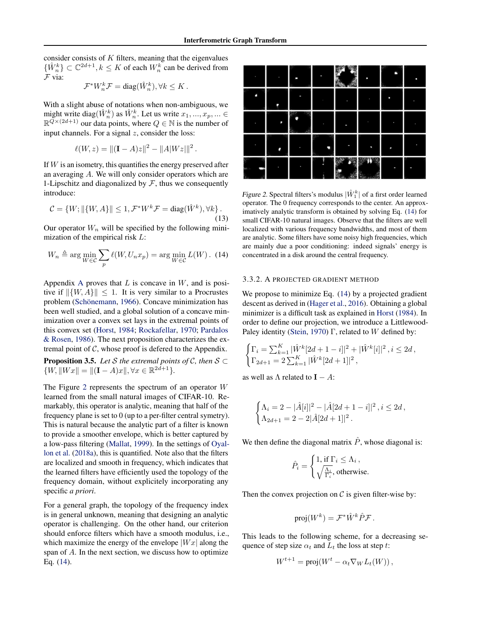<span id="page-4-0"></span>consider consists of  $K$  filters, meaning that the eigenvalues  $\{\hat{W}_n^k\} \subset \mathbb{C}^{2d+1}, k \leq K$  of each  $W_n^k$  can be derived from F via:

$$
\mathcal{F}^*W_n^k \mathcal{F} = \text{diag}(\hat{W}_n^k), \forall k \leq K.
$$

With a slight abuse of notations when non-ambiguous, we might write diag( $\hat{W}_n^k$ ) as  $\hat{W}_n^k$ . Let us write  $x_1, ..., x_p, ... \in$  $\mathbb{R}^{\overline{Q} \times (2d+1)}$  our data points, where  $Q \in \mathbb{N}$  is the number of input channels. For a signal  $z$ , consider the loss:

$$
\ell(W, z) = ||(\mathbf{I} - A)z||^2 - ||A|Wz|||^2.
$$

If  $W$  is an isometry, this quantifies the energy preserved after an averaging A. We will only consider operators which are 1-Lipschitz and diagonalized by  $F$ , thus we consequently introduce:

$$
\mathcal{C} = \{W; \|\{W, A\}\| \le 1, \mathcal{F}^*W^k \mathcal{F} = \text{diag}(\hat{W}^k), \forall k\}.
$$
\n(13)

Our operator  $W_n$  will be specified by the following minimization of the empirical risk L:

$$
W_n \triangleq \arg\min_{W \in \mathcal{C}} \sum_p \ell(W, U_n x_p) = \arg\min_{W \in \mathcal{C}} L(W).
$$
 (14)

[A](#page-11-0)ppendix A proves that  $L$  is concave in  $W$ , and is positive if  $\|\{W, A\}\| \leq 1$ . It is very similar to a Procrustes problem (Schönemann, [1966\)](#page-9-0). Concave minimization has been well studied, and a global solution of a concave minimization over a convex set lays in the extremal points of this convex set [\(Horst,](#page-8-0) [1984;](#page-8-0) [Rockafellar,](#page-9-0) [1970;](#page-9-0) [Pardalos](#page-9-0) [& Rosen,](#page-9-0) [1986\)](#page-9-0). The next proposition characterizes the extremal point of  $C$ , whose proof is defered to the Appendix.

**Proposition 3.5.** *Let* S *the extremal points of*  $C$ *, then*  $S \subset$  $\{W, \|Wx\| = \|(\mathbf{I} - A)x\|, \forall x \in \mathbb{R}^{2\hat{d}+1}\}.$ 

The Figure 2 represents the spectrum of an operator  $W$ learned from the small natural images of CIFAR-10. Remarkably, this operator is analytic, meaning that half of the frequency plane is set to 0 (up to a per-filter central symetry). This is natural because the analytic part of a filter is known to provide a smoother envelope, which is better captured by a low-pass filtering [\(Mallat,](#page-9-0) [1999\)](#page-9-0). In the settings of [Oyal](#page-9-0)[lon et al.](#page-9-0) [\(2018a\)](#page-9-0), this is quantified. Note also that the filters are localized and smooth in frequency, which indicates that the learned filters have efficiently used the topology of the frequency domain, without explicitely incorporating any specific *a priori*.

For a general graph, the topology of the frequency index is in general unknown, meaning that designing an analytic operator is challenging. On the other hand, our criterion should enforce filters which have a smooth modulus, i.e., which maximize the energy of the envelope  $|Wx|$  along the span of A. In the next section, we discuss how to optimize Eq. (14).

|  |  | п | ┍ |
|--|--|---|---|
|  |  |   |   |
|  |  |   |   |
|  |  |   |   |
|  |  |   |   |

Figure 2. Spectral filters's modulus  $|\hat{W}_1^k|$  of a first order learned operator. The 0 frequency corresponds to the center. An approximatively analytic transform is obtained by solving Eq. (14) for small CIFAR-10 natural images. Observe that the filters are well localized with various frequency bandwidths, and most of them are analytic. Some filters have some noisy high frequencies, which are mainly due a poor conditioning: indeed signals' energy is concentrated in a disk around the central frequency.

#### 3.3.2. A PROJECTED GRADIENT METHOD

We propose to minimize Eq. (14) by a projected gradient descent as derived in [\(Hager et al.,](#page-8-0) [2016\)](#page-8-0). Obtaining a global minimizer is a difficult task as explained in [Horst](#page-8-0) [\(1984\)](#page-8-0). In order to define our projection, we introduce a Littlewood-Paley identity [\(Stein,](#page-9-0) [1970\)](#page-9-0) Γ, related to W defined by:

$$
\begin{cases} \Gamma_i = \sum_{k=1}^K |\hat{W}^k[2d+1-i]|^2 + |\hat{W}^k[i]|^2 \,, i \leq 2d \,, \\ \Gamma_{2d+1} = 2\sum_{k=1}^K |\hat{W}^k[2d+1]|^2 \,, \end{cases}
$$

as well as  $\Lambda$  related to  $I - A$ :

$$
\begin{cases} \Lambda_i = 2 - |\hat{A}[i]|^2 - |\hat{A}[2d+1-i]|^2 \,, i \leq 2d \,, \\ \Lambda_{2d+1} = 2 - 2|\hat{A}[2d+1]|^2 \,. \end{cases}
$$

We then define the diagonal matrix  $\hat{P}$ , whose diagonal is:

$$
\hat{P}_i = \begin{cases} 1, \text{ if } \Gamma_i \leq \Lambda_i \,, \\ \sqrt{\frac{\Lambda_i}{\Gamma_i}}, \text{ otherwise.} \end{cases}
$$

Then the convex projection on  $\mathcal C$  is given filter-wise by:

$$
\operatorname{proj}(W^k) = \mathcal{F}^* \hat{W}^k \hat{P} \mathcal{F}.
$$

This leads to the following scheme, for a decreasing sequence of step size  $\alpha_t$  and  $L_t$  the loss at step t:

$$
W^{t+1} = \text{proj}(W^t - \alpha_t \nabla_W L_t(W)),
$$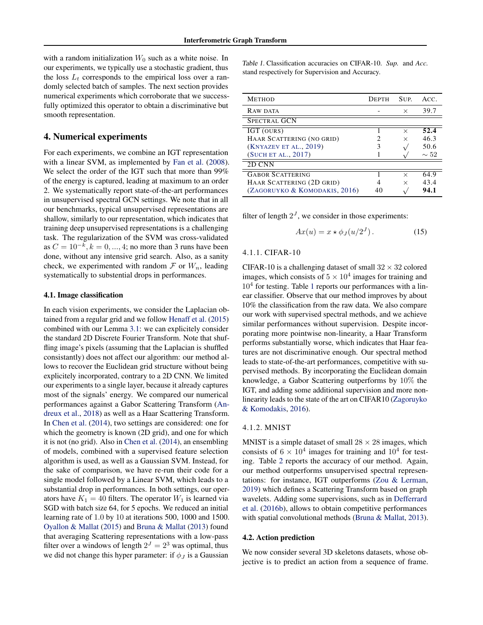<span id="page-5-0"></span>with a random initialization  $W_0$  such as a white noise. In our experiments, we typically use a stochastic gradient, thus the loss  $L_t$  corresponds to the empirical loss over a randomly selected batch of samples. The next section provides numerical experiments which corroborate that we successfully optimized this operator to obtain a discriminative but smooth representation.

## 4. Numerical experiments

For each experiments, we combine an IGT representation with a linear SVM, as implemented by [Fan et al.](#page-8-0) [\(2008\)](#page-8-0). We select the order of the IGT such that more than 99% of the energy is captured, leading at maximum to an order 2. We systematically report state-of-the-art performances in unsupervised spectral GCN settings. We note that in all our benchmarks, typical unsupervised representations are shallow, similarly to our representation, which indicates that training deep unsupervised representations is a challenging task. The regularization of the SVM was cross-validated as  $C = 10^{-k}, k = 0, ..., 4$ ; no more than 3 runs have been done, without any intensive grid search. Also, as a sanity check, we experimented with random  $\mathcal F$  or  $W_n$ , leading systematically to substential drops in performances.

## 4.1. Image classification

In each vision experiments, we consider the Laplacian obtained from a regular grid and we follow [Henaff et al.](#page-8-0) [\(2015\)](#page-8-0) combined with our Lemma [3.1:](#page-2-0) we can explicitely consider the standard 2D Discrete Fourier Transform. Note that shuffling image's pixels (assuming that the Laplacian is shuffled consistantly) does not affect our algorithm: our method allows to recover the Euclidean grid structure without being explicitely incorporated, contrary to a 2D CNN. We limited our experiments to a single layer, because it already captures most of the signals' energy. We compared our numerical performances against a Gabor Scattering Transform [\(An](#page-8-0)[dreux et al.,](#page-8-0) [2018\)](#page-8-0) as well as a Haar Scattering Transform. In [Chen et al.](#page-8-0) [\(2014\)](#page-8-0), two settings are considered: one for which the geometry is known (2D grid), and one for which it is not (no grid). Also in [Chen et al.](#page-8-0) [\(2014\)](#page-8-0), an ensembling of models, combined with a supervised feature selection algorithm is used, as well as a Gaussian SVM. Instead, for the sake of comparison, we have re-run their code for a single model followed by a Linear SVM, which leads to a substantial drop in performances. In both settings, our operators have  $K_1 = 40$  filters. The operator  $W_1$  is learned via SGD with batch size 64, for 5 epochs. We reduced an initial learning rate of 1.0 by 10 at iterations 500, 1000 and 1500. [Oyallon & Mallat](#page-9-0) [\(2015\)](#page-9-0) and [Bruna & Mallat](#page-8-0) [\(2013\)](#page-8-0) found that averaging Scattering representations with a low-pass filter over a windows of length  $2^J = 2^3$  was optimal, thus we did not change this hyper parameter: if  $\phi_J$  is a Gaussian

Table 1. Classification accuracies on CIFAR-10. *Sup.* and *Acc.* stand respectively for Supervision and Accuracy.

| <b>METHOD</b>                 | <b>DEPTH</b> | SUP.     | ACC.      |
|-------------------------------|--------------|----------|-----------|
| RAW DATA                      |              | $\times$ | 39.7      |
| <b>SPECTRAL GCN</b>           |              |          |           |
| IGT (OURS)                    |              | $\times$ | 52.4      |
| HAAR SCATTERING (NO GRID)     |              | $\times$ | 46.3      |
| (KNYAZEV ET AL., 2019)        | 3            |          | 50.6      |
| (SUCH ET AL., 2017)           |              |          | $\sim 52$ |
| 2D CNN                        |              |          |           |
| <b>GABOR SCATTERING</b>       |              | $\times$ | 64.9      |
| HAAR SCATTERING (2D GRID)     |              | $\times$ | 43.4      |
| (ZAGORUYKO & KOMODAKIS, 2016) | 40           |          | 94.1      |

filter of length  $2<sup>J</sup>$ , we consider in those experiments:

$$
Ax(u) = x \star \phi_J(u/2^J). \tag{15}
$$

#### 4.1.1. CIFAR-10

CIFAR-10 is a challenging dataset of small  $32 \times 32$  colored images, which consists of  $5 \times 10^4$  images for training and  $10<sup>4</sup>$  for testing. Table 1 reports our performances with a linear classifier. Observe that our method improves by about 10% the classification from the raw data. We also compare our work with supervised spectral methods, and we achieve similar performances without supervision. Despite incorporating more pointwise non-linearity, a Haar Transform performs substantially worse, which indicates that Haar features are not discriminative enough. Our spectral method leads to state-of-the-art performances, competitive with supervised methods. By incorporating the Euclidean domain knowledge, a Gabor Scattering outperforms by 10% the IGT, and adding some additional supervision and more nonlinearity leads to the state of the art on CIFAR10 [\(Zagoruyko](#page-10-0) [& Komodakis,](#page-10-0) [2016\)](#page-10-0).

#### 4.1.2. MNIST

MNIST is a simple dataset of small  $28 \times 28$  images, which consists of  $6 \times 10^4$  images for training and  $10^4$  for testing. Table [2](#page-6-0) reports the accuracy of our method. Again, our method outperforms unsupervised spectral representations: for instance, IGT outperforms [\(Zou & Lerman,](#page-10-0) [2019\)](#page-10-0) which defines a Scattering Transform based on graph wavelets. Adding some supervisions, such as in [Defferrard](#page-8-0) [et al.](#page-8-0) [\(2016b\)](#page-8-0), allows to obtain competitive performances with spatial convolutional methods [\(Bruna & Mallat,](#page-8-0) [2013\)](#page-8-0).

#### 4.2. Action prediction

We now consider several 3D skeletons datasets, whose objective is to predict an action from a sequence of frame.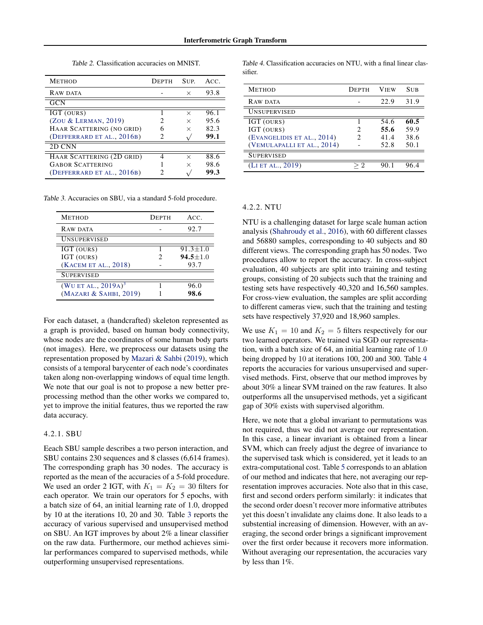Table 2. Classification accuracies on MNIST.

<span id="page-6-0"></span>

| <b>METHOD</b>              | DEPTH | SUP.     | ACC. |
|----------------------------|-------|----------|------|
| RAW DATA                   |       | $\times$ | 93.8 |
| <b>GCN</b>                 |       |          |      |
| IGT (OURS)                 |       | X        | 96.1 |
| (ZOU & LERMAN, 2019)       | 2     | $\times$ | 95.6 |
| HAAR SCATTERING (NO GRID)  |       | $\times$ | 82.3 |
| (DEFFERRARD ET AL., 2016B) | 2     |          | 99.1 |
| 2D CNN                     |       |          |      |
| HAAR SCATTERING (2D GRID)  | 4     | $\times$ | 88.6 |
| <b>GABOR SCATTERING</b>    |       | $\times$ | 98.6 |
| (DEFFERRARD ET AL., 2016B) |       |          | 99.3 |

Table 3. Accuracies on SBU, via a standard 5-fold procedure.

| <b>METHOD</b>          | <b>DEPTH</b> | ACC.           |
|------------------------|--------------|----------------|
| RAW DATA               |              | 92.7           |
| <b>UNSUPERVISED</b>    |              |                |
| IGT (OURS)             |              | $91.3 \pm 1.0$ |
| IGT (OURS)             | 2            | $94.5 + 1.0$   |
| (KACEM ET AL., 2018)   |              | 93.7           |
| <b>SUPERVISED</b>      |              |                |
| (WU ET AL., $2019A)^3$ |              | 96.0           |
| (MAZARI & SAHBI, 2019) |              | 98.6           |
|                        |              |                |

For each dataset, a (handcrafted) skeleton represented as a graph is provided, based on human body connectivity, whose nodes are the coordinates of some human body parts (not images). Here, we preprocess our datasets using the representation proposed by [Mazari & Sahbi](#page-9-0) [\(2019\)](#page-9-0), which consists of a temporal barycenter of each node's coordinates taken along non-overlapping windows of equal time length. We note that our goal is not to propose a new better preprocessing method than the other works we compared to, yet to improve the initial features, thus we reported the raw data accuracy.

# 4.2.1. SBU

Eeach SBU sample describes a two person interaction, and SBU contains 230 sequences and 8 classes (6,614 frames). The corresponding graph has 30 nodes. The accuracy is reported as the mean of the accuracies of a 5-fold procedure. We used an order 2 IGT, with  $K_1 = K_2 = 30$  filters for each operator. We train our operators for 5 epochs, with a batch size of 64, an initial learning rate of 1.0, dropped by 10 at the iterations 10, 20 and 30. Table 3 reports the accuracy of various supervised and unsupervised method on SBU. An IGT improves by about 2% a linear classifier on the raw data. Furthermore, our method achieves similar performances compared to supervised methods, while outperforming unsupervised representations.

Table 4. Classification accuracies on NTU, with a final linear classifier.

| <b>METHOD</b>              | <b>DEPTH</b> | <b>VIEW</b> | <b>SUB</b> |
|----------------------------|--------------|-------------|------------|
| RAW DATA                   |              | 22.9        | 31.9       |
| <b>UNSUPERVISED</b>        |              |             |            |
| IGT (OURS)                 |              | 54.6        | 60.5       |
| IGT (OURS)                 | 2            | 55.6        | 59.9       |
| (EVANGELIDIS ET AL., 2014) | 2            | 41.4        | 38.6       |
| (VEMULAPALLI ET AL., 2014) |              | 52.8        | 50.1       |
| <b>SUPERVISED</b>          |              |             |            |
| (LI ET AL., 2019)          |              |             |            |

#### 4.2.2. NTU

NTU is a challenging dataset for large scale human action analysis [\(Shahroudy et al.,](#page-9-0) [2016\)](#page-9-0), with 60 different classes and 56880 samples, corresponding to 40 subjects and 80 different views. The corresponding graph has 50 nodes. Two procedures allow to report the accuracy. In cross-subject evaluation, 40 subjects are split into training and testing groups, consisting of 20 subjects such that the training and testing sets have respectively 40,320 and 16,560 samples. For cross-view evaluation, the samples are split according to different cameras view, such that the training and testing sets have respectively 37,920 and 18,960 samples.

We use  $K_1 = 10$  and  $K_2 = 5$  filters respectively for our two learned operators. We trained via SGD our representation, with a batch size of 64, an initial learning rate of 1.0 being dropped by 10 at iterations 100, 200 and 300. Table 4 reports the accuracies for various unsupervised and supervised methods. First, observe that our method improves by about 30% a linear SVM trained on the raw features. It also outperforms all the unsupervised methods, yet a sigificant gap of 30% exists with supervised algorithm.

Here, we note that a global invariant to permutations was not required, thus we did not average our representation. In this case, a linear invariant is obtained from a linear SVM, which can freely adjust the degree of invariance to the supervised task which is considered, yet it leads to an extra-computational cost. Table [5](#page-7-0) corresponds to an ablation of our method and indicates that here, not averaging our representation improves accuracies. Note also that in this case, first and second orders perform similarly: it indicates that the second order doesn't recover more informative attributes yet this doesn't invalidate any claims done. It also leads to a substential increasing of dimension. However, with an averaging, the second order brings a significant improvement over the first order because it recovers more information. Without averaging our representation, the accuracies vary by less than 1%.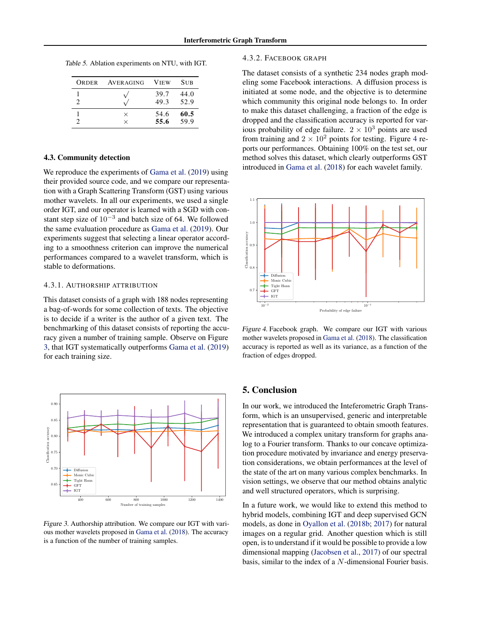<span id="page-7-0"></span>Table 5. Ablation experiments on NTU, with IGT.

| ORDER | AVERAGING            | <b>VIEW</b>  | <b>SUB</b>   |
|-------|----------------------|--------------|--------------|
| 2     |                      | 39.7<br>49.3 | 44.0<br>52.9 |
|       | $\times$<br>$\times$ | 54.6<br>55.6 | 60.5<br>59.9 |

#### 4.3. Community detection

We reproduce the experiments of [Gama et al.](#page-8-0) [\(2019\)](#page-8-0) using their provided source code, and we compare our representation with a Graph Scattering Transform (GST) using various mother wavelets. In all our experiments, we used a single order IGT, and our operator is learned with a SGD with constant step size of  $10^{-3}$  and batch size of 64. We followed the same evaluation procedure as [Gama et al.](#page-8-0) [\(2019\)](#page-8-0). Our experiments suggest that selecting a linear operator according to a smoothness criterion can improve the numerical performances compared to a wavelet transform, which is stable to deformations.

## 4.3.1. AUTHORSHIP ATTRIBUTION

This dataset consists of a graph with 188 nodes representing a bag-of-words for some collection of texts. The objective is to decide if a writer is the author of a given text. The benchmarking of this dataset consists of reporting the accuracy given a number of training sample. Observe on Figure 3, that IGT systematically outperforms [Gama et al.](#page-8-0) [\(2019\)](#page-8-0) for each training size.



Figure 3. Authorship attribution. We compare our IGT with various mother wavelets proposed in [Gama et al.](#page-8-0) [\(2018\)](#page-8-0). The accuracy is a function of the number of training samples.

#### 4.3.2. FACEBOOK GRAPH

The dataset consists of a synthetic 234 nodes graph modeling some Facebook interactions. A diffusion process is initiated at some node, and the objective is to determine which community this original node belongs to. In order to make this dataset challenging, a fraction of the edge is dropped and the classification accuracy is reported for various probability of edge failure.  $2 \times 10^3$  points are used from training and  $2 \times 10^2$  points for testing. Figure 4 reports our performances. Obtaining 100% on the test set, our method solves this dataset, which clearly outperforms GST introduced in [Gama et al.](#page-8-0) [\(2018\)](#page-8-0) for each wavelet family.



Figure 4. Facebook graph. We compare our IGT with various mother wavelets proposed in [Gama et al.](#page-8-0) [\(2018\)](#page-8-0). The classification accuracy is reported as well as its variance, as a function of the fraction of edges dropped.

# 5. Conclusion

In our work, we introduced the Inteferometric Graph Transform, which is an unsupervised, generic and interpretable representation that is guaranteed to obtain smooth features. We introduced a complex unitary transform for graphs analog to a Fourier transform. Thanks to our concave optimization procedure motivated by invariance and energy preservation considerations, we obtain performances at the level of the state of the art on many various complex benchmarks. In vision settings, we observe that our method obtains analytic and well structured operators, which is surprising.

In a future work, we would like to extend this method to hybrid models, combining IGT and deep supervised GCN models, as done in [Oyallon et al.](#page-9-0) [\(2018b;](#page-9-0) [2017\)](#page-9-0) for natural images on a regular grid. Another question which is still open, is to understand if it would be possible to provide a low dimensional mapping [\(Jacobsen et al.,](#page-9-0) [2017\)](#page-9-0) of our spectral basis, similar to the index of a N-dimensional Fourier basis.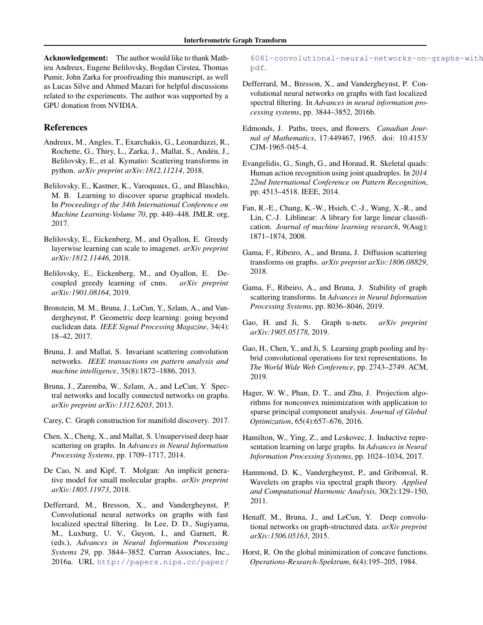<span id="page-8-0"></span>Acknowledgement: The author would like to thank Mathieu Andreux, Eugene Belilovsky, Bogdan Cirstea, Thomas Pumir, John Zarka for proofreading this manuscript, as well as Lucas Silve and Ahmed Mazari for helpful discussions related to the experiments. The author was supported by a GPU donation from NVIDIA.

# References

- Andreux, M., Angles, T., Exarchakis, G., Leonarduzzi, R., Rochette, G., Thiry, L., Zarka, J., Mallat, S., Andén, J., Belilovsky, E., et al. Kymatio: Scattering transforms in python. *arXiv preprint arXiv:1812.11214*, 2018.
- Belilovsky, E., Kastner, K., Varoquaux, G., and Blaschko, M. B. Learning to discover sparse graphical models. In *Proceedings of the 34th International Conference on Machine Learning-Volume 70*, pp. 440–448. JMLR. org, 2017.
- Belilovsky, E., Eickenberg, M., and Oyallon, E. Greedy layerwise learning can scale to imagenet. *arXiv preprint arXiv:1812.11446*, 2018.
- Belilovsky, E., Eickenberg, M., and Oyallon, E. Decoupled greedy learning of cnns. *arXiv preprint arXiv:1901.08164*, 2019.
- Bronstein, M. M., Bruna, J., LeCun, Y., Szlam, A., and Vandergheynst, P. Geometric deep learning: going beyond euclidean data. *IEEE Signal Processing Magazine*, 34(4): 18–42, 2017.
- Bruna, J. and Mallat, S. Invariant scattering convolution networks. *IEEE transactions on pattern analysis and machine intelligence*, 35(8):1872–1886, 2013.
- Bruna, J., Zaremba, W., Szlam, A., and LeCun, Y. Spectral networks and locally connected networks on graphs. *arXiv preprint arXiv:1312.6203*, 2013.
- Carey, C. Graph construction for manifold discovery. 2017.
- Chen, X., Cheng, X., and Mallat, S. Unsupervised deep haar scattering on graphs. In *Advances in Neural Information Processing Systems*, pp. 1709–1717, 2014.
- De Cao, N. and Kipf, T. Molgan: An implicit generative model for small molecular graphs. *arXiv preprint arXiv:1805.11973*, 2018.
- Defferrard, M., Bresson, X., and Vandergheynst, P. Convolutional neural networks on graphs with fast localized spectral filtering. In Lee, D. D., Sugiyama, M., Luxburg, U. V., Guyon, I., and Garnett, R. (eds.), *Advances in Neural Information Processing Systems 29*, pp. 3844–3852. Curran Associates, Inc., 2016a. URL [http://papers.nips.cc/paper/](http://papers.nips.cc/paper/6081-convolutional-neural-networks-on-graphs-with-fast-localized-spectral-filtering.pdf)

[6081-convolutional-neural-networks-on-](http://papers.nips.cc/paper/6081-convolutional-neural-networks-on-graphs-with-fast-localized-spectral-filtering.pdf)graphs-with [pdf](http://papers.nips.cc/paper/6081-convolutional-neural-networks-on-graphs-with-fast-localized-spectral-filtering.pdf).

- Defferrard, M., Bresson, X., and Vandergheynst, P. Convolutional neural networks on graphs with fast localized spectral filtering. In *Advances in neural information processing systems*, pp. 3844–3852, 2016b.
- Edmonds, J. Paths, trees, and flowers. *Canadian Journal of Mathematics*, 17:449467, 1965. doi: 10.4153/ CJM-1965-045-4.
- Evangelidis, G., Singh, G., and Horaud, R. Skeletal quads: Human action recognition using joint quadruples. In *2014 22nd International Conference on Pattern Recognition*, pp. 4513–4518. IEEE, 2014.
- Fan, R.-E., Chang, K.-W., Hsieh, C.-J., Wang, X.-R., and Lin, C.-J. Liblinear: A library for large linear classification. *Journal of machine learning research*, 9(Aug): 1871–1874, 2008.
- Gama, F., Ribeiro, A., and Bruna, J. Diffusion scattering transforms on graphs. *arXiv preprint arXiv:1806.08829*, 2018.
- Gama, F., Ribeiro, A., and Bruna, J. Stability of graph scattering transforms. In *Advances in Neural Information Processing Systems*, pp. 8036–8046, 2019.
- Gao, H. and Ji, S. Graph u-nets. *arXiv preprint arXiv:1905.05178*, 2019.
- Gao, H., Chen, Y., and Ji, S. Learning graph pooling and hybrid convolutional operations for text representations. In *The World Wide Web Conference*, pp. 2743–2749. ACM, 2019.
- Hager, W. W., Phan, D. T., and Zhu, J. Projection algorithms for nonconvex minimization with application to sparse principal component analysis. *Journal of Global Optimization*, 65(4):657–676, 2016.
- Hamilton, W., Ying, Z., and Leskovec, J. Inductive representation learning on large graphs. In *Advances in Neural Information Processing Systems*, pp. 1024–1034, 2017.
- Hammond, D. K., Vandergheynst, P., and Gribonval, R. Wavelets on graphs via spectral graph theory. *Applied and Computational Harmonic Analysis*, 30(2):129–150, 2011.
- Henaff, M., Bruna, J., and LeCun, Y. Deep convolutional networks on graph-structured data. *arXiv preprint arXiv:1506.05163*, 2015.
- Horst, R. On the global minimization of concave functions. *Operations-Research-Spektrum*, 6(4):195–205, 1984.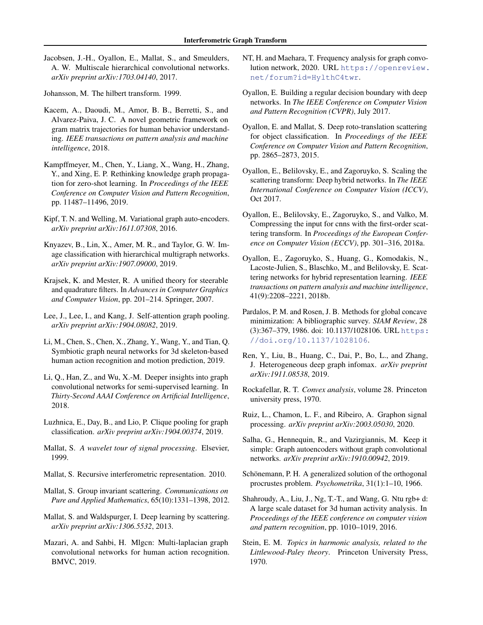<span id="page-9-0"></span>Jacobsen, J.-H., Oyallon, E., Mallat, S., and Smeulders, A. W. Multiscale hierarchical convolutional networks. *arXiv preprint arXiv:1703.04140*, 2017.

Johansson, M. The hilbert transform. 1999.

- Kacem, A., Daoudi, M., Amor, B. B., Berretti, S., and Alvarez-Paiva, J. C. A novel geometric framework on gram matrix trajectories for human behavior understanding. *IEEE transactions on pattern analysis and machine intelligence*, 2018.
- Kampffmeyer, M., Chen, Y., Liang, X., Wang, H., Zhang, Y., and Xing, E. P. Rethinking knowledge graph propagation for zero-shot learning. In *Proceedings of the IEEE Conference on Computer Vision and Pattern Recognition*, pp. 11487–11496, 2019.
- Kipf, T. N. and Welling, M. Variational graph auto-encoders. *arXiv preprint arXiv:1611.07308*, 2016.
- Knyazev, B., Lin, X., Amer, M. R., and Taylor, G. W. Image classification with hierarchical multigraph networks. *arXiv preprint arXiv:1907.09000*, 2019.
- Krajsek, K. and Mester, R. A unified theory for steerable and quadrature filters. In *Advances in Computer Graphics and Computer Vision*, pp. 201–214. Springer, 2007.
- Lee, J., Lee, I., and Kang, J. Self-attention graph pooling. *arXiv preprint arXiv:1904.08082*, 2019.
- Li, M., Chen, S., Chen, X., Zhang, Y., Wang, Y., and Tian, Q. Symbiotic graph neural networks for 3d skeleton-based human action recognition and motion prediction, 2019.
- Li, Q., Han, Z., and Wu, X.-M. Deeper insights into graph convolutional networks for semi-supervised learning. In *Thirty-Second AAAI Conference on Artificial Intelligence*, 2018.
- Luzhnica, E., Day, B., and Lio, P. Clique pooling for graph classification. *arXiv preprint arXiv:1904.00374*, 2019.
- Mallat, S. *A wavelet tour of signal processing*. Elsevier, 1999.
- Mallat, S. Recursive interferometric representation. 2010.
- Mallat, S. Group invariant scattering. *Communications on Pure and Applied Mathematics*, 65(10):1331–1398, 2012.
- Mallat, S. and Waldspurger, I. Deep learning by scattering. *arXiv preprint arXiv:1306.5532*, 2013.
- Mazari, A. and Sahbi, H. Mlgcn: Multi-laplacian graph convolutional networks for human action recognition. BMVC, 2019.
- NT, H. and Maehara, T. Frequency analysis for graph convolution network, 2020. URL [https://openreview.](https://openreview.net/forum?id=HylthC4twr) [net/forum?id=HylthC4twr](https://openreview.net/forum?id=HylthC4twr).
- Oyallon, E. Building a regular decision boundary with deep networks. In *The IEEE Conference on Computer Vision and Pattern Recognition (CVPR)*, July 2017.
- Oyallon, E. and Mallat, S. Deep roto-translation scattering for object classification. In *Proceedings of the IEEE Conference on Computer Vision and Pattern Recognition*, pp. 2865–2873, 2015.
- Oyallon, E., Belilovsky, E., and Zagoruyko, S. Scaling the scattering transform: Deep hybrid networks. In *The IEEE International Conference on Computer Vision (ICCV)*, Oct 2017.
- Oyallon, E., Belilovsky, E., Zagoruyko, S., and Valko, M. Compressing the input for cnns with the first-order scattering transform. In *Proceedings of the European Conference on Computer Vision (ECCV)*, pp. 301–316, 2018a.
- Oyallon, E., Zagoruyko, S., Huang, G., Komodakis, N., Lacoste-Julien, S., Blaschko, M., and Belilovsky, E. Scattering networks for hybrid representation learning. *IEEE transactions on pattern analysis and machine intelligence*, 41(9):2208–2221, 2018b.
- Pardalos, P. M. and Rosen, J. B. Methods for global concave minimization: A bibliographic survey. *SIAM Review*, 28 (3):367–379, 1986. doi: 10.1137/1028106. URL [https:](https://doi.org/10.1137/1028106) [//doi.org/10.1137/1028106](https://doi.org/10.1137/1028106).
- Ren, Y., Liu, B., Huang, C., Dai, P., Bo, L., and Zhang, J. Heterogeneous deep graph infomax. *arXiv preprint arXiv:1911.08538*, 2019.
- Rockafellar, R. T. *Convex analysis*, volume 28. Princeton university press, 1970.
- Ruiz, L., Chamon, L. F., and Ribeiro, A. Graphon signal processing. *arXiv preprint arXiv:2003.05030*, 2020.
- Salha, G., Hennequin, R., and Vazirgiannis, M. Keep it simple: Graph autoencoders without graph convolutional networks. *arXiv preprint arXiv:1910.00942*, 2019.
- Schönemann, P. H. A generalized solution of the orthogonal procrustes problem. *Psychometrika*, 31(1):1–10, 1966.
- Shahroudy, A., Liu, J., Ng, T.-T., and Wang, G. Ntu rgb+ d: A large scale dataset for 3d human activity analysis. In *Proceedings of the IEEE conference on computer vision and pattern recognition*, pp. 1010–1019, 2016.
- Stein, E. M. *Topics in harmonic analysis, related to the Littlewood-Paley theory*. Princeton University Press, 1970.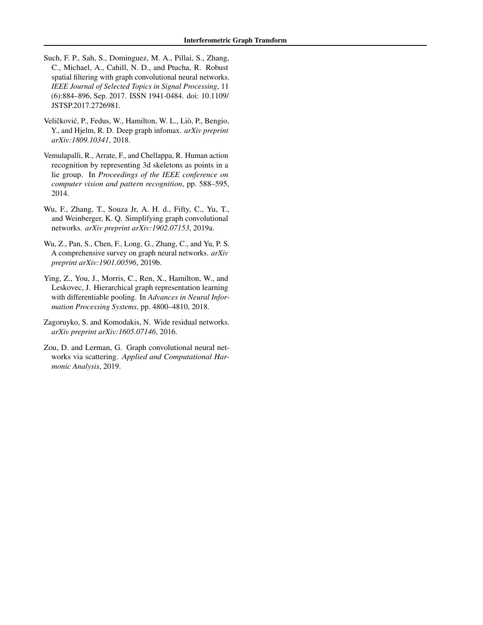- <span id="page-10-0"></span>Such, F. P., Sah, S., Dominguez, M. A., Pillai, S., Zhang, C., Michael, A., Cahill, N. D., and Ptucha, R. Robust spatial filtering with graph convolutional neural networks. *IEEE Journal of Selected Topics in Signal Processing*, 11 (6):884–896, Sep. 2017. ISSN 1941-0484. doi: 10.1109/ JSTSP.2017.2726981.
- Veličković, P., Fedus, W., Hamilton, W. L., Liò, P., Bengio, Y., and Hjelm, R. D. Deep graph infomax. *arXiv preprint arXiv:1809.10341*, 2018.
- Vemulapalli, R., Arrate, F., and Chellappa, R. Human action recognition by representing 3d skeletons as points in a lie group. In *Proceedings of the IEEE conference on computer vision and pattern recognition*, pp. 588–595, 2014.
- Wu, F., Zhang, T., Souza Jr, A. H. d., Fifty, C., Yu, T., and Weinberger, K. Q. Simplifying graph convolutional networks. *arXiv preprint arXiv:1902.07153*, 2019a.
- Wu, Z., Pan, S., Chen, F., Long, G., Zhang, C., and Yu, P. S. A comprehensive survey on graph neural networks. *arXiv preprint arXiv:1901.00596*, 2019b.
- Ying, Z., You, J., Morris, C., Ren, X., Hamilton, W., and Leskovec, J. Hierarchical graph representation learning with differentiable pooling. In *Advances in Neural Information Processing Systems*, pp. 4800–4810, 2018.
- Zagoruyko, S. and Komodakis, N. Wide residual networks. *arXiv preprint arXiv:1605.07146*, 2016.
- Zou, D. and Lerman, G. Graph convolutional neural networks via scattering. *Applied and Computational Harmonic Analysis*, 2019.